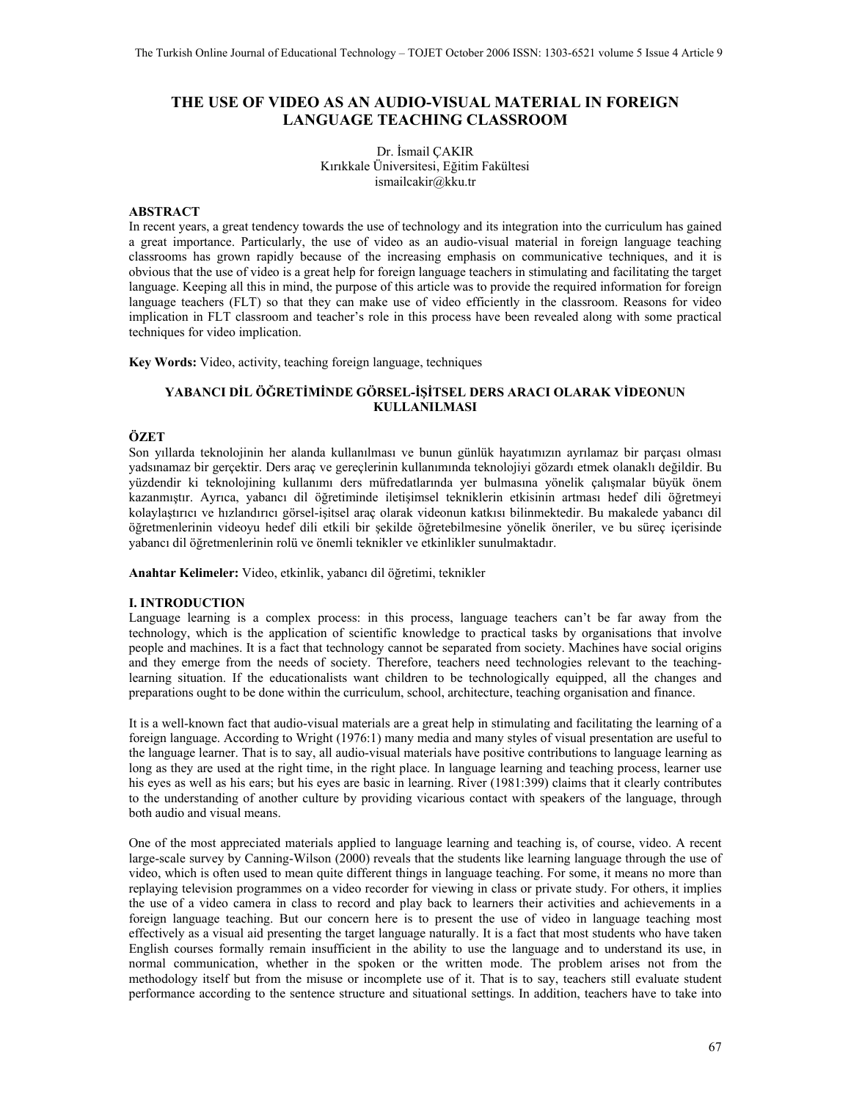# **THE USE OF VIDEO AS AN AUDIO-VISUAL MATERIAL IN FOREIGN LANGUAGE TEACHING CLASSROOM**

Dr. İsmail ÇAKIR Kırıkkale Üniversitesi, Eğitim Fakültesi ismailcakir@kku.tr

### **ABSTRACT**

In recent years, a great tendency towards the use of technology and its integration into the curriculum has gained a great importance. Particularly, the use of video as an audio-visual material in foreign language teaching classrooms has grown rapidly because of the increasing emphasis on communicative techniques, and it is obvious that the use of video is a great help for foreign language teachers in stimulating and facilitating the target language. Keeping all this in mind, the purpose of this article was to provide the required information for foreign language teachers (FLT) so that they can make use of video efficiently in the classroom. Reasons for video implication in FLT classroom and teacher's role in this process have been revealed along with some practical techniques for video implication.

**Key Words:** Video, activity, teaching foreign language, techniques

## **YABANCI DİL ÖĞRETİMİNDE GÖRSEL-İŞİTSEL DERS ARACI OLARAK VİDEONUN KULLANILMASI**

## **ÖZET**

Son yıllarda teknolojinin her alanda kullanılması ve bunun günlük hayatımızın ayrılamaz bir parçası olması yadsınamaz bir gerçektir. Ders araç ve gereçlerinin kullanımında teknolojiyi gözardı etmek olanaklı değildir. Bu yüzdendir ki teknolojining kullanımı ders müfredatlarında yer bulmasına yönelik çalışmalar büyük önem kazanmıştır. Ayrıca, yabancı dil öğretiminde iletişimsel tekniklerin etkisinin artması hedef dili öğretmeyi kolaylaştırıcı ve hızlandırıcı görsel-işitsel araç olarak videonun katkısı bilinmektedir. Bu makalede yabancı dil öğretmenlerinin videoyu hedef dili etkili bir şekilde öğretebilmesine yönelik öneriler, ve bu süreç içerisinde yabancı dil öğretmenlerinin rolü ve önemli teknikler ve etkinlikler sunulmaktadır.

**Anahtar Kelimeler:** Video, etkinlik, yabancı dil öğretimi, teknikler

### **I. INTRODUCTION**

Language learning is a complex process: in this process, language teachers can't be far away from the technology, which is the application of scientific knowledge to practical tasks by organisations that involve people and machines. It is a fact that technology cannot be separated from society. Machines have social origins and they emerge from the needs of society. Therefore, teachers need technologies relevant to the teachinglearning situation. If the educationalists want children to be technologically equipped, all the changes and preparations ought to be done within the curriculum, school, architecture, teaching organisation and finance.

It is a well-known fact that audio-visual materials are a great help in stimulating and facilitating the learning of a foreign language. According to Wright (1976:1) many media and many styles of visual presentation are useful to the language learner. That is to say, all audio-visual materials have positive contributions to language learning as long as they are used at the right time, in the right place. In language learning and teaching process, learner use his eyes as well as his ears; but his eyes are basic in learning. River (1981:399) claims that it clearly contributes to the understanding of another culture by providing vicarious contact with speakers of the language, through both audio and visual means.

One of the most appreciated materials applied to language learning and teaching is, of course, video. A recent large-scale survey by Canning-Wilson (2000) reveals that the students like learning language through the use of video, which is often used to mean quite different things in language teaching. For some, it means no more than replaying television programmes on a video recorder for viewing in class or private study. For others, it implies the use of a video camera in class to record and play back to learners their activities and achievements in a foreign language teaching. But our concern here is to present the use of video in language teaching most effectively as a visual aid presenting the target language naturally. It is a fact that most students who have taken English courses formally remain insufficient in the ability to use the language and to understand its use, in normal communication, whether in the spoken or the written mode. The problem arises not from the methodology itself but from the misuse or incomplete use of it. That is to say, teachers still evaluate student performance according to the sentence structure and situational settings. In addition, teachers have to take into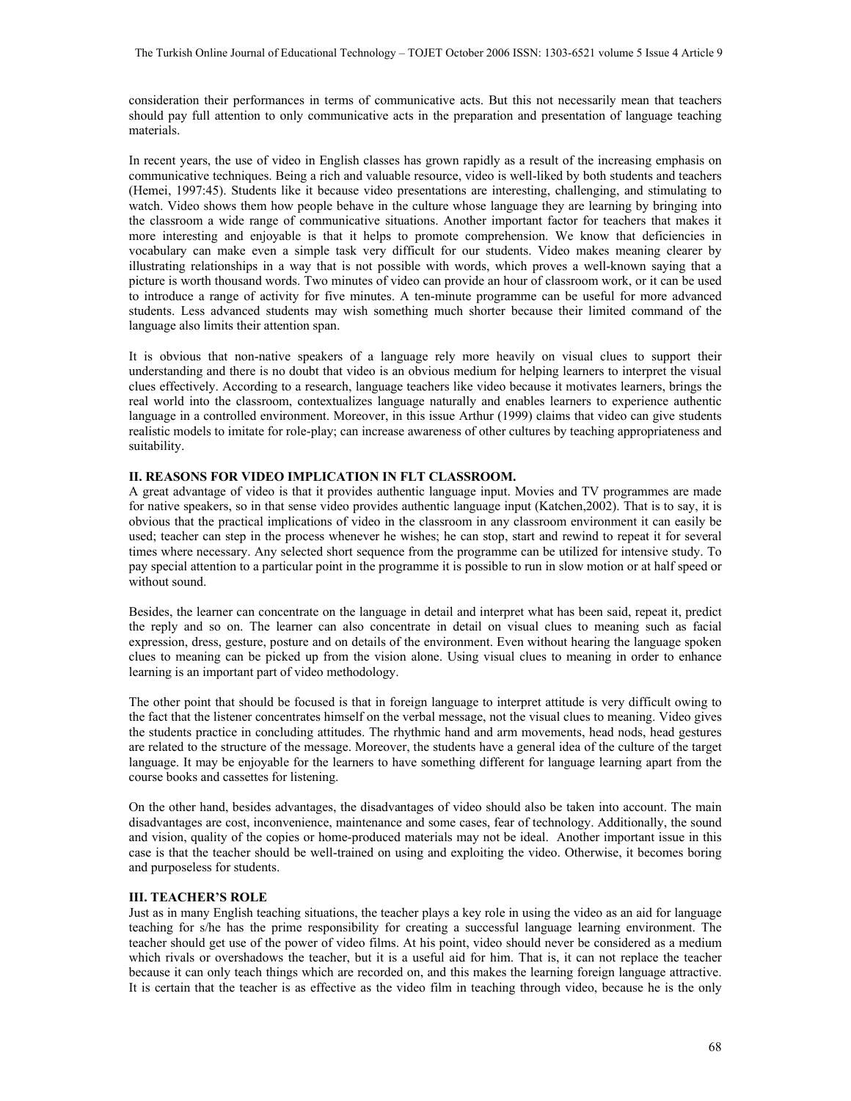consideration their performances in terms of communicative acts. But this not necessarily mean that teachers should pay full attention to only communicative acts in the preparation and presentation of language teaching materials.

In recent years, the use of video in English classes has grown rapidly as a result of the increasing emphasis on communicative techniques. Being a rich and valuable resource, video is well-liked by both students and teachers (Hemei, 1997:45). Students like it because video presentations are interesting, challenging, and stimulating to watch. Video shows them how people behave in the culture whose language they are learning by bringing into the classroom a wide range of communicative situations. Another important factor for teachers that makes it more interesting and enjoyable is that it helps to promote comprehension. We know that deficiencies in vocabulary can make even a simple task very difficult for our students. Video makes meaning clearer by illustrating relationships in a way that is not possible with words, which proves a well-known saying that a picture is worth thousand words. Two minutes of video can provide an hour of classroom work, or it can be used to introduce a range of activity for five minutes. A ten-minute programme can be useful for more advanced students. Less advanced students may wish something much shorter because their limited command of the language also limits their attention span.

It is obvious that non-native speakers of a language rely more heavily on visual clues to support their understanding and there is no doubt that video is an obvious medium for helping learners to interpret the visual clues effectively. According to a research, language teachers like video because it motivates learners, brings the real world into the classroom, contextualizes language naturally and enables learners to experience authentic language in a controlled environment. Moreover, in this issue Arthur (1999) claims that video can give students realistic models to imitate for role-play; can increase awareness of other cultures by teaching appropriateness and suitability.

## **II. REASONS FOR VIDEO IMPLICATION IN FLT CLASSROOM.**

A great advantage of video is that it provides authentic language input. Movies and TV programmes are made for native speakers, so in that sense video provides authentic language input (Katchen,2002). That is to say, it is obvious that the practical implications of video in the classroom in any classroom environment it can easily be used; teacher can step in the process whenever he wishes; he can stop, start and rewind to repeat it for several times where necessary. Any selected short sequence from the programme can be utilized for intensive study. To pay special attention to a particular point in the programme it is possible to run in slow motion or at half speed or without sound.

Besides, the learner can concentrate on the language in detail and interpret what has been said, repeat it, predict the reply and so on. The learner can also concentrate in detail on visual clues to meaning such as facial expression, dress, gesture, posture and on details of the environment. Even without hearing the language spoken clues to meaning can be picked up from the vision alone. Using visual clues to meaning in order to enhance learning is an important part of video methodology.

The other point that should be focused is that in foreign language to interpret attitude is very difficult owing to the fact that the listener concentrates himself on the verbal message, not the visual clues to meaning. Video gives the students practice in concluding attitudes. The rhythmic hand and arm movements, head nods, head gestures are related to the structure of the message. Moreover, the students have a general idea of the culture of the target language. It may be enjoyable for the learners to have something different for language learning apart from the course books and cassettes for listening.

On the other hand, besides advantages, the disadvantages of video should also be taken into account. The main disadvantages are cost, inconvenience, maintenance and some cases, fear of technology. Additionally, the sound and vision, quality of the copies or home-produced materials may not be ideal. Another important issue in this case is that the teacher should be well-trained on using and exploiting the video. Otherwise, it becomes boring and purposeless for students.

#### **III. TEACHER'S ROLE**

Just as in many English teaching situations, the teacher plays a key role in using the video as an aid for language teaching for s/he has the prime responsibility for creating a successful language learning environment. The teacher should get use of the power of video films. At his point, video should never be considered as a medium which rivals or overshadows the teacher, but it is a useful aid for him. That is, it can not replace the teacher because it can only teach things which are recorded on, and this makes the learning foreign language attractive. It is certain that the teacher is as effective as the video film in teaching through video, because he is the only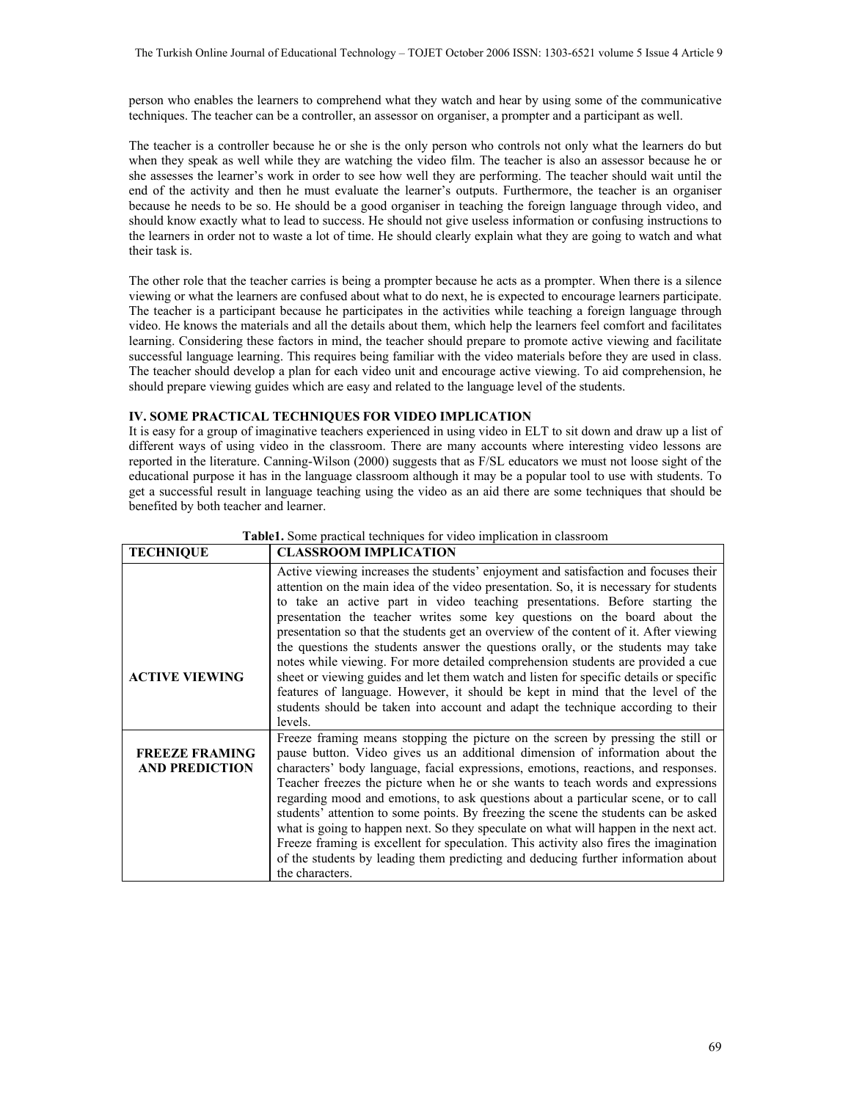person who enables the learners to comprehend what they watch and hear by using some of the communicative techniques. The teacher can be a controller, an assessor on organiser, a prompter and a participant as well.

The teacher is a controller because he or she is the only person who controls not only what the learners do but when they speak as well while they are watching the video film. The teacher is also an assessor because he or she assesses the learner's work in order to see how well they are performing. The teacher should wait until the end of the activity and then he must evaluate the learner's outputs. Furthermore, the teacher is an organiser because he needs to be so. He should be a good organiser in teaching the foreign language through video, and should know exactly what to lead to success. He should not give useless information or confusing instructions to the learners in order not to waste a lot of time. He should clearly explain what they are going to watch and what their task is.

The other role that the teacher carries is being a prompter because he acts as a prompter. When there is a silence viewing or what the learners are confused about what to do next, he is expected to encourage learners participate. The teacher is a participant because he participates in the activities while teaching a foreign language through video. He knows the materials and all the details about them, which help the learners feel comfort and facilitates learning. Considering these factors in mind, the teacher should prepare to promote active viewing and facilitate successful language learning. This requires being familiar with the video materials before they are used in class. The teacher should develop a plan for each video unit and encourage active viewing. To aid comprehension, he should prepare viewing guides which are easy and related to the language level of the students.

## **IV. SOME PRACTICAL TECHNIQUES FOR VIDEO IMPLICATION**

It is easy for a group of imaginative teachers experienced in using video in ELT to sit down and draw up a list of different ways of using video in the classroom. There are many accounts where interesting video lessons are reported in the literature. Canning-Wilson (2000) suggests that as F/SL educators we must not loose sight of the educational purpose it has in the language classroom although it may be a popular tool to use with students. To get a successful result in language teaching using the video as an aid there are some techniques that should be benefited by both teacher and learner.

| <b>TECHNIQUE</b>                               | <b>CLASSROOM IMPLICATION</b>                                                                                                                                                                                                                                                                                                                                                                                                                                                                                                                                                                                                                                                                                                                                                                                                                                                          |
|------------------------------------------------|---------------------------------------------------------------------------------------------------------------------------------------------------------------------------------------------------------------------------------------------------------------------------------------------------------------------------------------------------------------------------------------------------------------------------------------------------------------------------------------------------------------------------------------------------------------------------------------------------------------------------------------------------------------------------------------------------------------------------------------------------------------------------------------------------------------------------------------------------------------------------------------|
| <b>ACTIVE VIEWING</b>                          | Active viewing increases the students' enjoyment and satisfaction and focuses their<br>attention on the main idea of the video presentation. So, it is necessary for students<br>to take an active part in video teaching presentations. Before starting the<br>presentation the teacher writes some key questions on the board about the<br>presentation so that the students get an overview of the content of it. After viewing<br>the questions the students answer the questions orally, or the students may take<br>notes while viewing. For more detailed comprehension students are provided a cue<br>sheet or viewing guides and let them watch and listen for specific details or specific<br>features of language. However, it should be kept in mind that the level of the<br>students should be taken into account and adapt the technique according to their<br>levels. |
| <b>FREEZE FRAMING</b><br><b>AND PREDICTION</b> | Freeze framing means stopping the picture on the screen by pressing the still or<br>pause button. Video gives us an additional dimension of information about the<br>characters' body language, facial expressions, emotions, reactions, and responses.<br>Teacher freezes the picture when he or she wants to teach words and expressions<br>regarding mood and emotions, to ask questions about a particular scene, or to call<br>students' attention to some points. By freezing the scene the students can be asked<br>what is going to happen next. So they speculate on what will happen in the next act.<br>Freeze framing is excellent for speculation. This activity also fires the imagination<br>of the students by leading them predicting and deducing further information about<br>the characters.                                                                      |

## **Table1.** Some practical techniques for video implication in classroom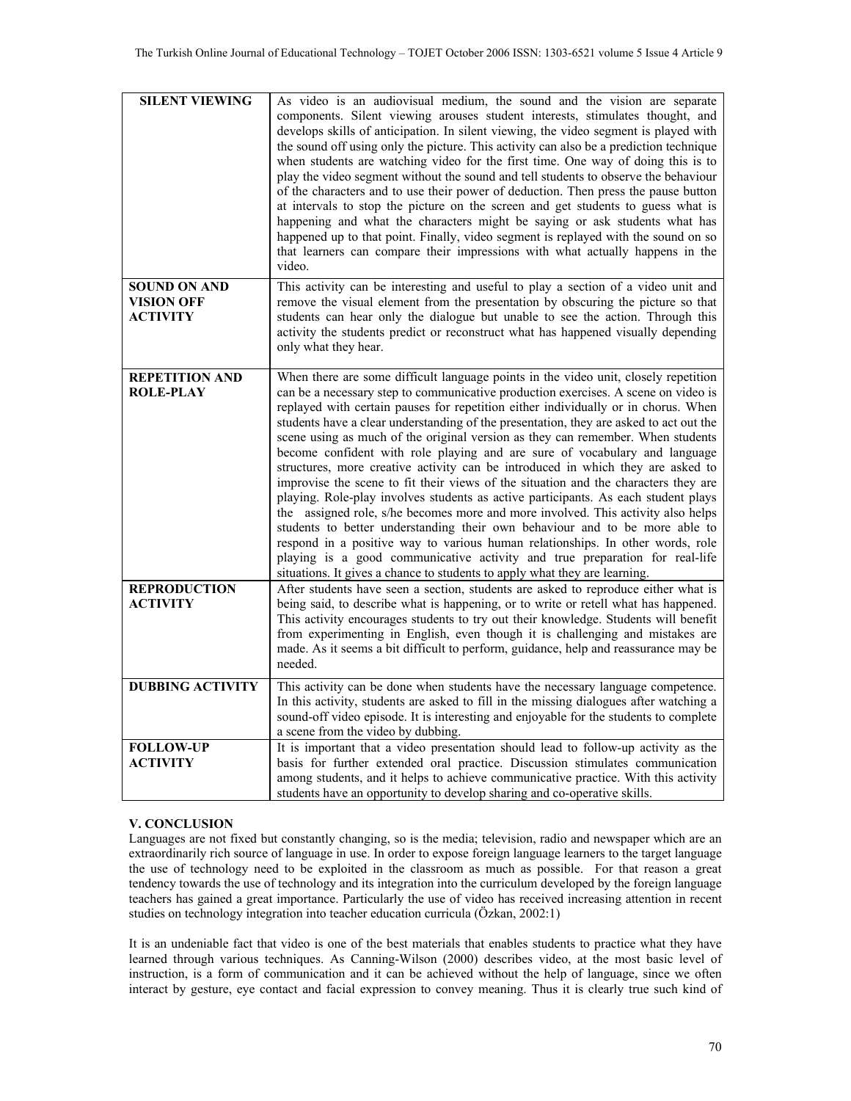| <b>SILENT VIEWING</b>                                       | As video is an audiovisual medium, the sound and the vision are separate<br>components. Silent viewing arouses student interests, stimulates thought, and<br>develops skills of anticipation. In silent viewing, the video segment is played with<br>the sound off using only the picture. This activity can also be a prediction technique<br>when students are watching video for the first time. One way of doing this is to<br>play the video segment without the sound and tell students to observe the behaviour<br>of the characters and to use their power of deduction. Then press the pause button<br>at intervals to stop the picture on the screen and get students to guess what is<br>happening and what the characters might be saying or ask students what has<br>happened up to that point. Finally, video segment is replayed with the sound on so<br>that learners can compare their impressions with what actually happens in the<br>video.                                                                                                                                                                                                                                              |
|-------------------------------------------------------------|--------------------------------------------------------------------------------------------------------------------------------------------------------------------------------------------------------------------------------------------------------------------------------------------------------------------------------------------------------------------------------------------------------------------------------------------------------------------------------------------------------------------------------------------------------------------------------------------------------------------------------------------------------------------------------------------------------------------------------------------------------------------------------------------------------------------------------------------------------------------------------------------------------------------------------------------------------------------------------------------------------------------------------------------------------------------------------------------------------------------------------------------------------------------------------------------------------------|
| <b>SOUND ON AND</b><br><b>VISION OFF</b><br><b>ACTIVITY</b> | This activity can be interesting and useful to play a section of a video unit and<br>remove the visual element from the presentation by obscuring the picture so that<br>students can hear only the dialogue but unable to see the action. Through this<br>activity the students predict or reconstruct what has happened visually depending<br>only what they hear.                                                                                                                                                                                                                                                                                                                                                                                                                                                                                                                                                                                                                                                                                                                                                                                                                                         |
| <b>REPETITION AND</b><br><b>ROLE-PLAY</b>                   | When there are some difficult language points in the video unit, closely repetition<br>can be a necessary step to communicative production exercises. A scene on video is<br>replayed with certain pauses for repetition either individually or in chorus. When<br>students have a clear understanding of the presentation, they are asked to act out the<br>scene using as much of the original version as they can remember. When students<br>become confident with role playing and are sure of vocabulary and language<br>structures, more creative activity can be introduced in which they are asked to<br>improvise the scene to fit their views of the situation and the characters they are<br>playing. Role-play involves students as active participants. As each student plays<br>the assigned role, s/he becomes more and more involved. This activity also helps<br>students to better understanding their own behaviour and to be more able to<br>respond in a positive way to various human relationships. In other words, role<br>playing is a good communicative activity and true preparation for real-life<br>situations. It gives a chance to students to apply what they are learning. |
| <b>REPRODUCTION</b><br><b>ACTIVITY</b>                      | After students have seen a section, students are asked to reproduce either what is<br>being said, to describe what is happening, or to write or retell what has happened.<br>This activity encourages students to try out their knowledge. Students will benefit<br>from experimenting in English, even though it is challenging and mistakes are<br>made. As it seems a bit difficult to perform, guidance, help and reassurance may be<br>needed.                                                                                                                                                                                                                                                                                                                                                                                                                                                                                                                                                                                                                                                                                                                                                          |
| <b>DUBBING ACTIVITY</b>                                     | This activity can be done when students have the necessary language competence.<br>In this activity, students are asked to fill in the missing dialogues after watching a<br>sound-off video episode. It is interesting and enjoyable for the students to complete<br>a scene from the video by dubbing.                                                                                                                                                                                                                                                                                                                                                                                                                                                                                                                                                                                                                                                                                                                                                                                                                                                                                                     |
| <b>FOLLOW-UP</b><br><b>ACTIVITY</b>                         | It is important that a video presentation should lead to follow-up activity as the<br>basis for further extended oral practice. Discussion stimulates communication<br>among students, and it helps to achieve communicative practice. With this activity<br>students have an opportunity to develop sharing and co-operative skills.                                                                                                                                                                                                                                                                                                                                                                                                                                                                                                                                                                                                                                                                                                                                                                                                                                                                        |

## **V. CONCLUSION**

Languages are not fixed but constantly changing, so is the media; television, radio and newspaper which are an extraordinarily rich source of language in use. In order to expose foreign language learners to the target language the use of technology need to be exploited in the classroom as much as possible. For that reason a great tendency towards the use of technology and its integration into the curriculum developed by the foreign language teachers has gained a great importance. Particularly the use of video has received increasing attention in recent studies on technology integration into teacher education curricula (Özkan, 2002:1)

It is an undeniable fact that video is one of the best materials that enables students to practice what they have learned through various techniques. As Canning-Wilson (2000) describes video, at the most basic level of instruction, is a form of communication and it can be achieved without the help of language, since we often interact by gesture, eye contact and facial expression to convey meaning. Thus it is clearly true such kind of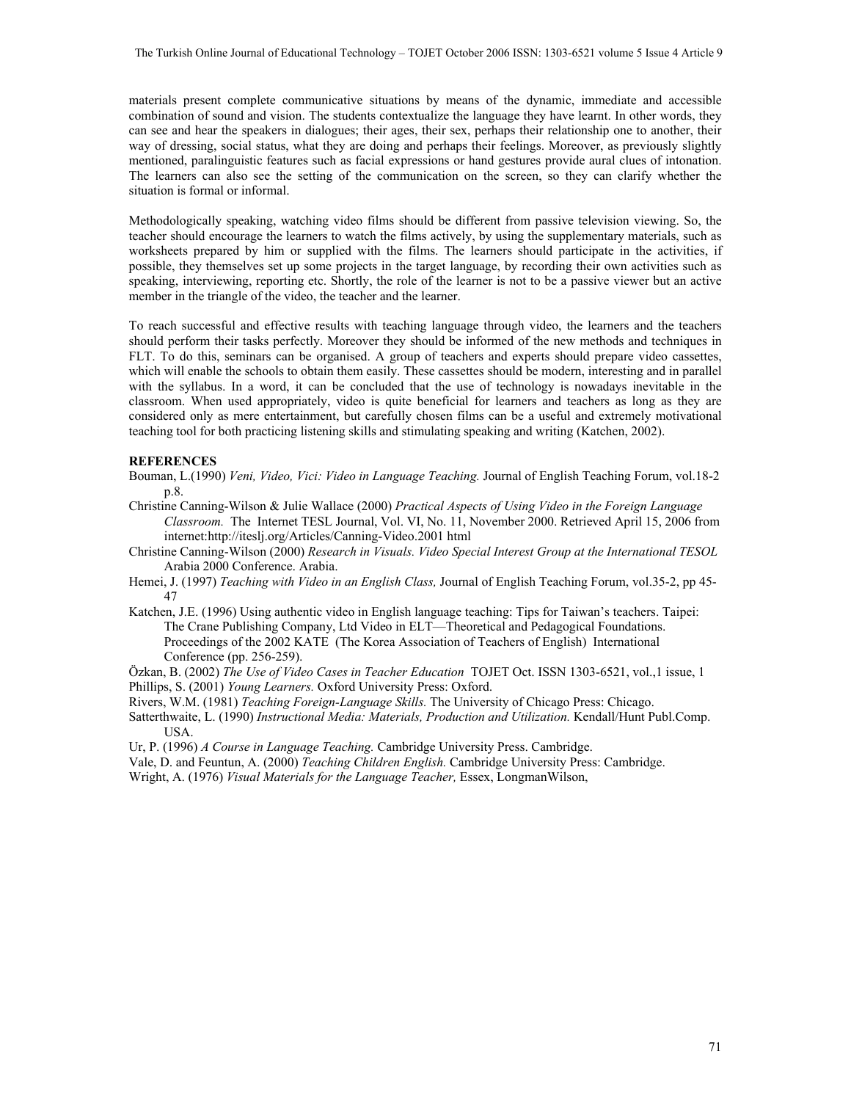materials present complete communicative situations by means of the dynamic, immediate and accessible combination of sound and vision. The students contextualize the language they have learnt. In other words, they can see and hear the speakers in dialogues; their ages, their sex, perhaps their relationship one to another, their way of dressing, social status, what they are doing and perhaps their feelings. Moreover, as previously slightly mentioned, paralinguistic features such as facial expressions or hand gestures provide aural clues of intonation. The learners can also see the setting of the communication on the screen, so they can clarify whether the situation is formal or informal.

Methodologically speaking, watching video films should be different from passive television viewing. So, the teacher should encourage the learners to watch the films actively, by using the supplementary materials, such as worksheets prepared by him or supplied with the films. The learners should participate in the activities, if possible, they themselves set up some projects in the target language, by recording their own activities such as speaking, interviewing, reporting etc. Shortly, the role of the learner is not to be a passive viewer but an active member in the triangle of the video, the teacher and the learner.

To reach successful and effective results with teaching language through video, the learners and the teachers should perform their tasks perfectly. Moreover they should be informed of the new methods and techniques in FLT. To do this, seminars can be organised. A group of teachers and experts should prepare video cassettes, which will enable the schools to obtain them easily. These cassettes should be modern, interesting and in parallel with the syllabus. In a word, it can be concluded that the use of technology is nowadays inevitable in the classroom. When used appropriately, video is quite beneficial for learners and teachers as long as they are considered only as mere entertainment, but carefully chosen films can be a useful and extremely motivational teaching tool for both practicing listening skills and stimulating speaking and writing (Katchen, 2002).

#### **REFERENCES**

- Bouman, L.(1990) *Veni, Video, Vici: Video in Language Teaching.* Journal of English Teaching Forum, vol.18-2 p.8.
- Christine Canning-Wilson & Julie Wallace (2000) *Practical Aspects of Using Video in the Foreign Language Classroom.* The Internet TESL Journal, Vol. VI, No. 11, November 2000. Retrieved April 15, 2006 from internet:http://iteslj.org/Articles/Canning-Video.2001 html
- Christine Canning-Wilson (2000) *Research in Visuals. Video Special Interest Group at the International TESOL* Arabia 2000 Conference. Arabia.
- Hemei, J. (1997) *Teaching with Video in an English Class,* Journal of English Teaching Forum, vol.35-2, pp 45- 47
- Katchen, J.E. (1996) Using authentic video in English language teaching: Tips for Taiwan's teachers. Taipei: The Crane Publishing Company, Ltd Video in ELT—Theoretical and Pedagogical Foundations. Proceedings of the 2002 KATE (The Korea Association of Teachers of English) International Conference (pp. 256-259).
- Özkan, B. (2002) *The Use of Video Cases in Teacher Education* TOJET Oct. ISSN 1303-6521, vol.,1 issue, 1 Phillips, S. (2001) *Young Learners.* Oxford University Press: Oxford.
- Rivers, W.M. (1981) *Teaching Foreign-Language Skills*. The University of Chicago Press: Chicago.
- Satterthwaite, L. (1990) *Instructional Media: Materials, Production and Utilization.* Kendall/Hunt Publ.Comp. USA.
- Ur, P. (1996) *A Course in Language Teaching.* Cambridge University Press. Cambridge.
- Vale, D. and Feuntun, A. (2000) *Teaching Children English.* Cambridge University Press: Cambridge.
- Wright, A. (1976) *Visual Materials for the Language Teacher,* Essex, LongmanWilson,